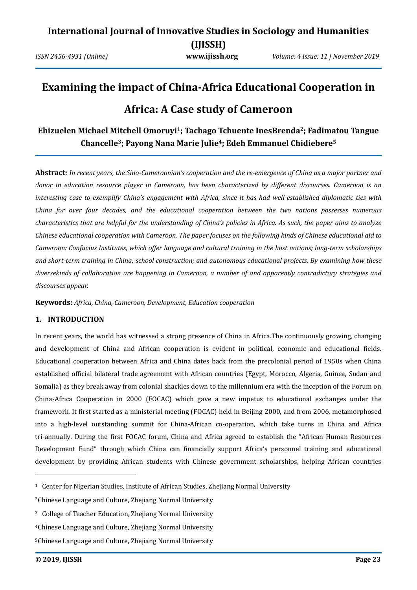# **Examining the impact of China-Africa Educational Cooperation in Africa: A Case study of Cameroon**

### **Ehizuelen Michael Mitchell Omoruyi1; Tachago Tchuente InesBrenda2; Fadimatou Tangue Chancelle3; Payong Nana Marie Julie4; Edeh Emmanuel Chidiebere<sup>5</sup>**

**Abstract:** *In recent years, the Sino-Cameroonian's cooperation and the re-emergence of China as a major partner and donor in education resource player in Cameroon, has been characterized by different discourses. Cameroon is an interesting case to exemplify China's engagement with Africa, since it has had well-established diplomatic ties with China for over four decades, and the educational cooperation between the two nations possesses numerous characteristics that are helpful for the understanding of China's policies in Africa. As such, the paper aims to analyze Chinese educational cooperation with Cameroon. The paper focuses on the following kinds of Chinese educational aid to Cameroon: Confucius Institutes, which offer language and cultural training in the host nations; long-term scholarships and short-term training in China; school construction; and autonomous educational projects. By examining how these diversekinds of collaboration are happening in Cameroon, a number of and apparently contradictory strategies and discourses appear.* 

**Keywords:** *Africa, China, Cameroon, Development, Education cooperation*

### **1. INTRODUCTION**

In recent years, the world has witnessed a strong presence of China in Africa.The continuously growing, changing and development of China and African cooperation is evident in political, economic and educational fields. Educational cooperation between Africa and China dates back from the precolonial period of 1950s when China established official bilateral trade agreement with African countries (Egypt, Morocco, Algeria, Guinea, Sudan and Somalia) as they break away from colonial shackles down to the millennium era with the inception of the Forum on China-Africa Cooperation in 2000 (FOCAC) which gave a new impetus to educational exchanges under the framework. It first started as a ministerial meeting (FOCAC) held in Beijing 2000, and from 2006, metamorphosed into a high-level outstanding summit for China-African co-operation, which take turns in China and Africa tri-annually. During the first FOCAC forum, China and Africa agreed to establish the "African Human Resources Development Fund" through which China can financially support Africa's personnel training and educational development by providing African students with Chinese government scholarships, helping African countries

<sup>&</sup>lt;sup>1</sup> Center for Nigerian Studies, Institute of African Studies, Zhejiang Normal University

<sup>2</sup>Chinese Language and Culture, Zhejiang Normal University

<sup>3</sup> College of Teacher Education, Zhejiang Normal University

<sup>4</sup>Chinese Language and Culture, Zhejiang Normal University

<sup>5</sup>Chinese Language and Culture, Zhejiang Normal University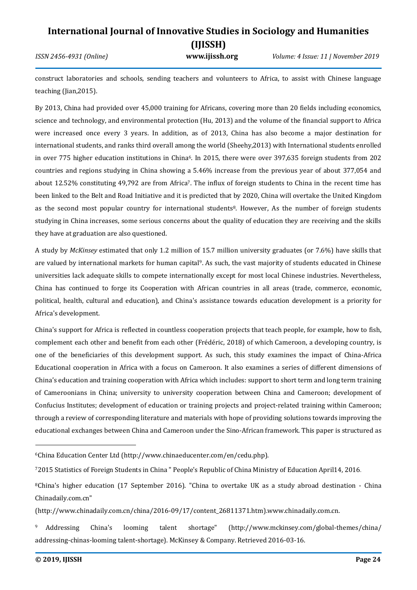*ISSN 2456-4931 (Online)* **www.ijissh.org** *Volume: 4 Issue: 11 | November 2019*

construct laboratories and schools, sending teachers and volunteers to Africa, to assist with Chinese language teaching (Jian,2015).

By 2013, China had provided over 45,000 training for Africans, covering more than 20 fields including economics, science and technology, and environmental protection (Hu, 2013) and the volume of the financial support to Africa were increased once every 3 years. In addition, as of 2013, China has also become a major destination for international students, and ranks third overall among the world (Sheehy,2013) with International students enrolled in over 775 higher education institutions in China<sup>6</sup>. In 2015, there were over 397,635 foreign students from 202 countries and regions studying in China showing a 5.46% increase from the previous year of about 377,054 and about 12.52% constituting 49,792 are from Africa7. The influx of foreign students to China in the recent time has been linked to the Belt and Road Initiative and it is predicted that by 2020, China will overtake the United Kingdom as the second most popular country for international students<sup>8</sup>. However, As the number of foreign students studying in China increases, some serious concerns about the quality of education they are receiving and the skills they have at graduation are also questioned.

A study by *McKinsey* estimated that only 1.2 million of 15.7 million university graduates (or 7.6%) have skills that are valued by international markets for human capital9. As such, the vast majority of students educated in Chinese universities lack adequate skills to compete internationally except for most local Chinese industries. Nevertheless, China has continued to forge its Cooperation with African countries in all areas (trade, commerce, economic, political, health, cultural and education), and China's assistance towards education development is a priority for Africa's development.

China's support for Africa is reflected in countless cooperation projects that teach people, for example, how to fish, complement each other and benefit from each other (Frédéric, 2018) of which Cameroon, a developing country, is one of the beneficiaries of this development support. As such, this study examines the impact of China-Africa Educational cooperation in Africa with a focus on Cameroon. It also examines a series of different dimensions of China's education and training cooperation with Africa which includes: support to short term and long term training of Cameroonians in China; university to university cooperation between China and Cameroon; development of Confucius Institutes; development of education or training projects and project-related training within Cameroon; through a review of corresponding literature and materials with hope of providing solutions towards improving the educational exchanges between China and Cameroon under the Sino-African framework. This paper is structured as

<sup>6</sup>China Education Center Ltd (http://www.chinaeducenter.com/en/cedu.php).

<sup>7</sup>2015 Statistics of Foreign Students in China " People's Republic of China Ministry of Education April14, 2016.

<sup>8</sup>China's higher education (17 September 2016). "China to overtake UK as a study abroad destination - China Chinadaily.com.cn"

<sup>(</sup>http://www.chinadaily.com.cn/china/2016-09/17/content\_26811371.htm).www.chinadaily.com.cn.

<sup>9</sup> Addressing China's looming talent shortage" [\(http://www.mckinsey.com/global-themes/china/](http://www.mckinsey.com/global-themes/china/addressing-chinas-looming) [addressing-chinas-looming](http://www.mckinsey.com/global-themes/china/addressing-chinas-looming) talent-shortage). McKinsey & Company. Retrieved 2016-03-16.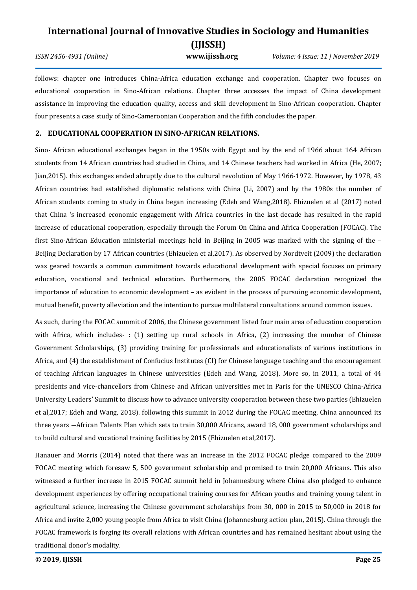*ISSN 2456-4931 (Online)* **www.ijissh.org** *Volume: 4 Issue: 11 | November 2019*

follows: chapter one introduces China-Africa education exchange and cooperation. Chapter two focuses on educational cooperation in Sino-African relations. Chapter three accesses the impact of China development assistance in improving the education quality, access and skill development in Sino-African cooperation. Chapter four presents a case study of Sino-Cameroonian Cooperation and the fifth concludes the paper.

### **2. EDUCATIONAL COOPERATION IN SINO-AFRICAN RELATIONS.**

Sino- African educational exchanges began in the 1950s with Egypt and by the end of 1966 about 164 African students from 14 African countries had studied in China, and 14 Chinese teachers had worked in Africa (He, 2007; Jian,2015). this exchanges ended abruptly due to the cultural revolution of May 1966-1972. However, by 1978, 43 African countries had established diplomatic relations with China (Li, 2007) and by the 1980s the number of African students coming to study in China began increasing (Edeh and Wang,2018). Ehizuelen et al (2017) noted that China 's increased economic engagement with Africa countries in the last decade has resulted in the rapid increase of educational cooperation, especially through the Forum On China and Africa Cooperation (FOCAC). The first Sino-African Education ministerial meetings held in Beijing in 2005 was marked with the signing of the – Beijing Declaration by 17 African countries (Ehizuelen et al,2017). As observed by Nordtveit (2009) the declaration was geared towards a common commitment towards educational development with special focuses on primary education, vocational and technical education. Furthermore, the 2005 FOCAC declaration recognized the importance of education to economic development – as evident in the process of pursuing economic development, mutual benefit, poverty alleviation and the intention to pursue multilateral consultations around common issues.

As such, during the FOCAC summit of 2006, the Chinese government listed four main area of education cooperation with Africa, which includes-: (1) setting up rural schools in Africa, (2) increasing the number of Chinese Government Scholarships, (3) providing training for professionals and educationalists of various institutions in Africa, and (4) the establishment of Confucius Institutes (CI) for Chinese language teaching and the encouragement of teaching African languages in Chinese universities (Edeh and Wang, 2018). More so, in 2011, a total of 44 presidents and vice-chancellors from Chinese and African universities met in Paris for the UNESCO China-Africa University Leaders' Summit to discuss how to advance university cooperation between these two parties (Ehizuelen et al,2017; Edeh and Wang, 2018). following this summit in 2012 during the FOCAC meeting, China announced its three years ―African Talents Plan which sets to train 30,000 Africans, award 18, 000 government scholarships and to build cultural and vocational training facilities by 2015 (Ehizuelen et al,2017).

Hanauer and Morris (2014) noted that there was an increase in the 2012 FOCAC pledge compared to the 2009 FOCAC meeting which foresaw 5, 500 government scholarship and promised to train 20,000 Africans. This also witnessed a further increase in 2015 FOCAC summit held in Johannesburg where China also pledged to enhance development experiences by offering occupational training courses for African youths and training young talent in agricultural science, increasing the Chinese government scholarships from 30, 000 in 2015 to 50,000 in 2018 for Africa and invite 2,000 young people from Africa to visit China (Johannesburg action plan, 2015). China through the FOCAC framework is forging its overall relations with African countries and has remained hesitant about using the traditional donor's modality.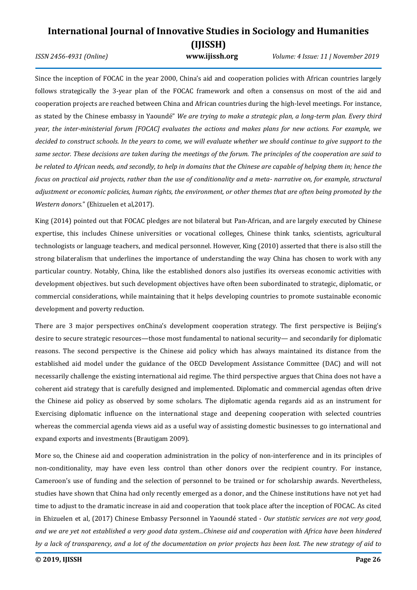### **International Journal of Innovative Studies in Sociology and Humanities (IJISSH)** *ISSN 2456-4931 (Online)* **www.ijissh.org** *Volume: 4 Issue: 11 | November 2019*

Since the inception of FOCAC in the year 2000, China's aid and cooperation policies with African countries largely follows strategically the 3-year plan of the FOCAC framework and often a consensus on most of the aid and cooperation projects are reached between China and African countries during the high-level meetings. For instance, as stated by the Chinese embassy in Yaoundé" *We are trying to make a strategic plan, a long-term plan. Every third year, the inter-ministerial forum [FOCAC] evaluates the actions and makes plans for new actions. For example, we*  decided to construct schools. In the years to come, we will evaluate whether we should continue to give support to the *same sector. These decisions are taken during the meetings of the forum. The principles of the cooperation are said to be related to African needs, and secondly, to help in domains that the Chinese are capable of helping them in; hence the focus on practical aid projects, rather than the use of conditionality and a meta- narrative on, for example, structural adjustment or economic policies, human rights, the environment, or other themes that are often being promoted by the Western donors.*" (Ehizuelen et al,2017).

King (2014) pointed out that FOCAC pledges are not bilateral but Pan-African, and are largely executed by Chinese expertise, this includes Chinese universities or vocational colleges, Chinese think tanks, scientists, agricultural technologists or language teachers, and medical personnel. However, King (2010) asserted that there is also still the strong bilateralism that underlines the importance of understanding the way China has chosen to work with any particular country. Notably, China, like the established donors also justifies its overseas economic activities with development objectives. but such development objectives have often been subordinated to strategic, diplomatic, or commercial considerations, while maintaining that it helps developing countries to promote sustainable economic development and poverty reduction.

There are 3 major perspectives onChina's development cooperation strategy*.* The first perspective is Beijing's desire to secure strategic resources—those most fundamental to national security— and secondarily for diplomatic reasons. The second perspective is the Chinese aid policy which has always maintained its distance from the established aid model under the guidance of the OECD Development Assistance Committee (DAC) and will not necessarily challenge the existing international aid regime. The third perspective argues that China does not have a coherent aid strategy that is carefully designed and implemented. Diplomatic and commercial agendas often drive the Chinese aid policy as observed by some scholars. The diplomatic agenda regards aid as an instrument for Exercising diplomatic influence on the international stage and deepening cooperation with selected countries whereas the commercial agenda views aid as a useful way of assisting domestic businesses to go international and expand exports and investments (Brautigam 2009).

More so, the Chinese aid and cooperation administration in the policy of non-interference and in its principles of non-conditionality, may have even less control than other donors over the recipient country. For instance, Cameroon's use of funding and the selection of personnel to be trained or for scholarship awards. Nevertheless, studies have shown that China had only recently emerged as a donor, and the Chinese institutions have not yet had time to adjust to the dramatic increase in aid and cooperation that took place after the inception of FOCAC. As cited in Ehizuelen et al, (2017) Chinese Embassy Personnel in Yaoundé stated - *Our statistic services are not very good, and we are yet not established a very good data system...Chinese aid and cooperation with Africa have been hindered by a lack of transparency, and a lot of the documentation on prior projects has been lost. The new strategy of aid to*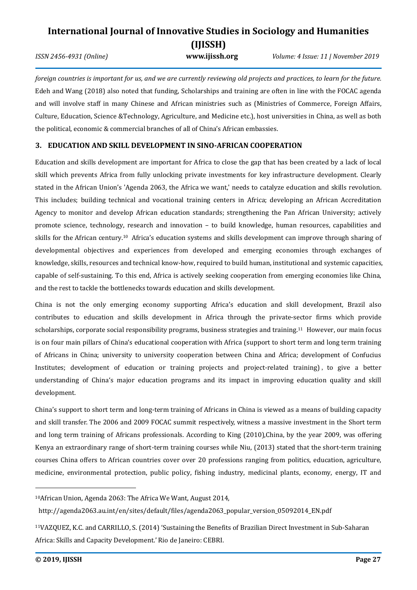*ISSN 2456-4931 (Online)* **www.ijissh.org** *Volume: 4 Issue: 11 | November 2019*

*foreign countries is important for us, and we are currently reviewing old projects and practices, to learn for the future.*  Edeh and Wang (2018) also noted that funding, Scholarships and training are often in line with the FOCAC agenda and will involve staff in many Chinese and African ministries such as (Ministries of Commerce, Foreign Affairs, Culture, Education, Science &Technology, Agriculture, and Medicine etc.), host universities in China, as well as both the political, economic & commercial branches of all of China's African embassies.

### **3. EDUCATION AND SKILL DEVELOPMENT IN SINO-AFRICAN COOPERATION**

Education and skills development are important for Africa to close the gap that has been created by a lack of local skill which prevents Africa from fully unlocking private investments for key infrastructure development. Clearly stated in the African Union's 'Agenda 2063, the Africa we want,' needs to catalyze education and skills revolution. This includes; building technical and vocational training centers in Africa; developing an African Accreditation Agency to monitor and develop African education standards; strengthening the Pan African University; actively promote science, technology, research and innovation – to build knowledge, human resources, capabilities and skills for the African century.<sup>10</sup> Africa's education systems and skills development can improve through sharing of developmental objectives and experiences from developed and emerging economies through exchanges of knowledge, skills, resources and technical know-how, required to build human, institutional and systemic capacities, capable of self-sustaining. To this end, Africa is actively seeking cooperation from emerging economies like China, and the rest to tackle the bottlenecks towards education and skills development.

China is not the only emerging economy supporting Africa's education and skill development, Brazil also contributes to education and skills development in Africa through the private-sector firms which provide scholarships, corporate social responsibility programs, business strategies and training.<sup>11</sup> However, our main focus is on four main pillars of China's educational cooperation with Africa (support to short term and long term training of Africans in China; university to university cooperation between China and Africa; development of Confucius Institutes; development of education or training projects and project-related training) , to give a better understanding of China's major education programs and its impact in improving education quality and skill development.

China's support to short term and long-term training of Africans in China is viewed as a means of building capacity and skill transfer. The 2006 and 2009 FOCAC summit respectively, witness a massive investment in the Short term and long term training of Africans professionals. According to King (2010),China, by the year 2009, was offering Kenya an extraordinary range of short-term training courses while Niu, (2013) stated that the short-term training courses China offers to African countries cover over 20 professions ranging from politics, education, agriculture, medicine, environmental protection, public policy, fishing industry, medicinal plants, economy, energy, IT and

<sup>10</sup>African Union, Agenda 2063: The Africa We Want, August 2014,

[http://agenda2063.au.int/en/sites/default/files/agenda2063\\_p](http://agenda2063.au.int/en/sites/default/files/agenda2063_)opular\_version\_05092014\_EN.pdf

<sup>11</sup>VAZQUEZ, K.C. and CARRILLO, S. (2014) 'Sustaining the Benefits of Brazilian Direct Investment in Sub-Saharan Africa: Skills and Capacity Development.' Rio de Janeiro: CEBRI.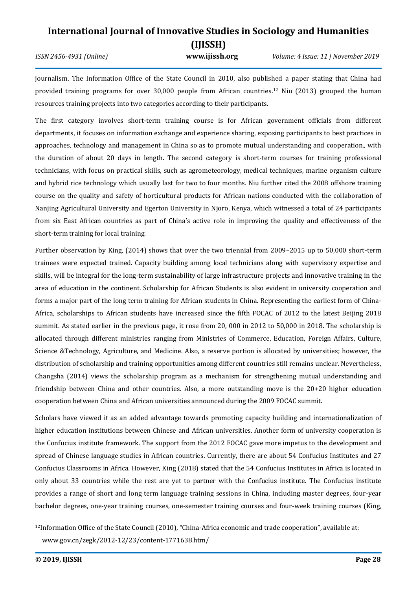*ISSN 2456-4931 (Online)* **www.ijissh.org** *Volume: 4 Issue: 11 | November 2019*

journalism. The Information Office of the State Council in 2010, also published a paper stating that China had provided training programs for over 30,000 people from African countries.<sup>12</sup> Niu (2013) grouped the human resources training projects into two categories according to their participants.

The first category involves short-term training course is for African government officials from different departments, it focuses on information exchange and experience sharing, exposing participants to best practices in approaches, technology and management in China so as to promote mutual understanding and cooperation., with the duration of about 20 days in length. The second category is short-term courses for training professional technicians, with focus on practical skills, such as agrometeorology, medical techniques, marine organism culture and hybrid rice technology which usually last for two to four months. Niu further cited the 2008 offshore training course on the quality and safety of horticultural products for African nations conducted with the collaboration of Nanjing Agricultural University and Egerton University in Njoro, Kenya, which witnessed a total of 24 participants from six East African countries as part of China's active role in improving the quality and effectiveness of the short-term training for local training.

Further observation by King, (2014) shows that over the two triennial from 2009–2015 up to 50,000 short-term trainees were expected trained. Capacity building among local technicians along with supervisory expertise and skills, will be integral for the long-term sustainability of large infrastructure projects and innovative training in the area of education in the continent. Scholarship for African Students is also evident in university cooperation and forms a major part of the long term training for African students in China. Representing the earliest form of China-Africa, scholarships to African students have increased since the fifth FOCAC of 2012 to the latest Beijing 2018 summit. As stated earlier in the previous page, it rose from 20, 000 in 2012 to 50,000 in 2018. The scholarship is allocated through different ministries ranging from Ministries of Commerce, Education, Foreign Affairs, Culture, Science &Technology, Agriculture, and Medicine. Also, a reserve portion is allocated by universities; however, the distribution of scholarship and training opportunities among different countries still remains unclear. Nevertheless, Changsha (2014) views the scholarship program as a mechanism for strengthening mutual understanding and friendship between China and other countries. Also, a more outstanding move is the 20+20 higher education cooperation between China and African universities announced during the 2009 FOCAC summit.

Scholars have viewed it as an added advantage towards promoting capacity building and internationalization of higher education institutions between Chinese and African universities. Another form of university cooperation is the Confucius institute framework. The support from the 2012 FOCAC gave more impetus to the development and spread of Chinese language studies in African countries. Currently, there are about 54 Confucius Institutes and 27 Confucius Classrooms in Africa. However, King (2018) stated that the 54 Confucius Institutes in Africa is located in only about 33 countries while the rest are yet to partner with the Confucius institute. The Confucius institute provides a range of short and long term language training sessions in China, including master degrees, four-year bachelor degrees, one-year training courses, one-semester training courses and four-week training courses (King,

<sup>12</sup>Information Office of the State Council (2010), "China-Africa economic and trade cooperation", available at: www.gov.cn/zegk/2012-12/23/content-1771638.htm/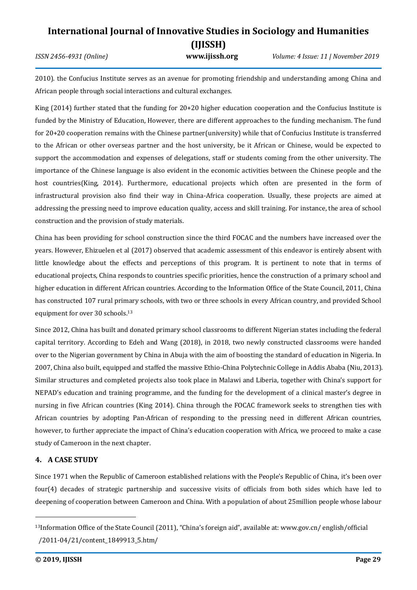*ISSN 2456-4931 (Online)* **www.ijissh.org** *Volume: 4 Issue: 11 | November 2019*

2010). the Confucius Institute serves as an avenue for promoting friendship and understanding among China and African people through social interactions and cultural exchanges.

King (2014) further stated that the funding for 20+20 higher education cooperation and the Confucius Institute is funded by the Ministry of Education, However, there are different approaches to the funding mechanism. The fund for 20+20 cooperation remains with the Chinese partner(university) while that of Confucius Institute is transferred to the African or other overseas partner and the host university, be it African or Chinese, would be expected to support the accommodation and expenses of delegations, staff or students coming from the other university. The importance of the Chinese language is also evident in the economic activities between the Chinese people and the host countries(King, 2014). Furthermore, educational projects which often are presented in the form of infrastructural provision also find their way in China-Africa cooperation. Usually, these projects are aimed at addressing the pressing need to improve education quality, access and skill training. For instance, the area of school construction and the provision of study materials.

China has been providing for school construction since the third FOCAC and the numbers have increased over the years. However, Ehizuelen et al (2017) observed that academic assessment of this endeavor is entirely absent with little knowledge about the effects and perceptions of this program. It is pertinent to note that in terms of educational projects, China responds to countries specific priorities, hence the construction of a primary school and higher education in different African countries. According to the Information Office of the State Council, 2011, China has constructed 107 rural primary schools, with two or three schools in every African country, and provided School equipment for over 30 schools.<sup>13</sup>

Since 2012, China has built and donated primary school classrooms to different Nigerian states including the federal capital territory. According to Edeh and Wang (2018), in 2018, two newly constructed classrooms were handed over to the Nigerian government by China in Abuja with the aim of boosting the standard of education in Nigeria. In 2007, China also built, equipped and staffed the massive Ethio-China Polytechnic College in Addis Ababa (Niu, 2013). Similar structures and completed projects also took place in Malawi and Liberia, together with China's support for NEPAD's education and training programme, and the funding for the development of a clinical master's degree in nursing in five African countries (King 2014). China through the FOCAC framework seeks to strengthen ties with African countries by adopting Pan-African of responding to the pressing need in different African countries, however, to further appreciate the impact of China's education cooperation with Africa, we proceed to make a case study of Cameroon in the next chapter.

### **4. A CASE STUDY**

Since 1971 when the Republic of Cameroon established relations with the People's Republic of China, it's been over four(4) decades of strategic partnership and successive visits of officials from both sides which have led to deepening of cooperation between Cameroon and China. With a population of about 25million people whose labour

<sup>13</sup>Information Office of the State Council (2011), "China's foreign aid", available at: www.gov.cn/ english/official /2011-04/21/content\_1849913\_5.htm/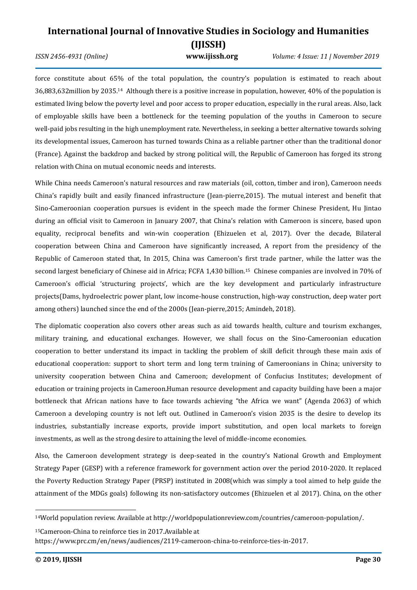*ISSN 2456-4931 (Online)* **www.ijissh.org** *Volume: 4 Issue: 11 | November 2019*

force constitute about 65% of the total population, the country's population is estimated to reach about 36,883,632million by 2035.<sup>14</sup> Although there is a positive increase in population, however, 40% of the population is estimated living below the poverty level and poor access to proper education, especially in the rural areas. Also, lack of employable skills have been a bottleneck for the teeming population of the youths in Cameroon to secure well-paid jobs resulting in the high unemployment rate. Nevertheless, in seeking a better alternative towards solving its developmental issues, Cameroon has turned towards China as a reliable partner other than the traditional donor (France). Against the backdrop and backed by strong political will, the Republic of Cameroon has forged its strong relation with China on mutual economic needs and interests.

While China needs Cameroon's natural resources and raw materials (oil, cotton, timber and iron), Cameroon needs China's rapidly built and easily financed infrastructure (Jean-pierre,2015). The mutual interest and benefit that Sino-Cameroonian cooperation pursues is evident in the speech made the former Chinese President, Hu Jintao during an official visit to Cameroon in January 2007, that China's relation with Cameroon is sincere, based upon equality, reciprocal benefits and win-win cooperation (Ehizuelen et al, 2017). Over the decade, Bilateral cooperation between China and Cameroon have significantly increased, A report from the presidency of the Republic of Cameroon stated that, In 2015, China was Cameroon's first trade partner, while the latter was the second largest beneficiary of Chinese aid in Africa; FCFA 1,430 billion.<sup>15</sup> Chinese companies are involved in 70% of Cameroon's official 'structuring projects', which are the key development and particularly infrastructure projects(Dams, hydroelectric power plant, low income-house construction, high-way construction, deep water port among others) launched since the end of the 2000s (Jean-pierre,2015; Amindeh, 2018).

The diplomatic cooperation also covers other areas such as aid towards health, culture and tourism exchanges, military training, and educational exchanges. However, we shall focus on the Sino-Cameroonian education cooperation to better understand its impact in tackling the problem of skill deficit through these main axis of educational cooperation: support to short term and long term training of Cameroonians in China; university to university cooperation between China and Cameroon; development of Confucius Institutes; development of education or training projects in Cameroon.Human resource development and capacity building have been a major bottleneck that African nations have to face towards achieving "the Africa we want" (Agenda 2063) of which Cameroon a developing country is not left out. Outlined in Cameroon's vision 2035 is the desire to develop its industries, substantially increase exports, provide import substitution, and open local markets to foreign investments, as well as the strong desire to attaining the level of middle-income economies.

Also, the Cameroon development strategy is deep-seated in the country's National Growth and Employment Strategy Paper (GESP) with a reference framework for government action over the period 2010-2020. It replaced the Poverty Reduction Strategy Paper (PRSP) instituted in 2008(which was simply a tool aimed to help guide the attainment of the MDGs goals) following its non-satisfactory outcomes (Ehizuelen et al 2017). China, on the other

<sup>15</sup>Cameroon-China to reinforce ties in 2017.Available at https://www.prc.cm/en/news/audiences/2119-cameroon-china-to-reinforce-ties-in-2017.

<sup>14</sup>World population review. Available at http://worldpopulationreview.com/countries/cameroon-population/.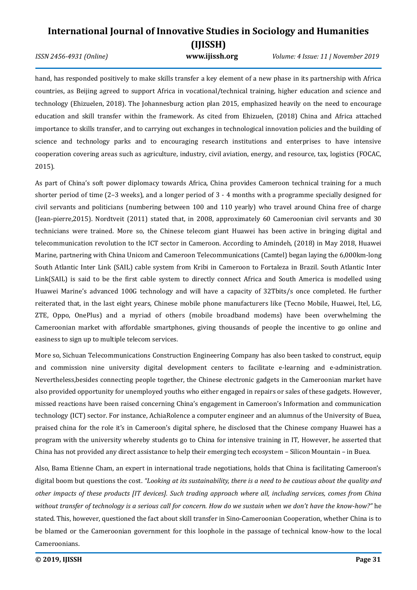*ISSN 2456-4931 (Online)* **www.ijissh.org** *Volume: 4 Issue: 11 | November 2019*

hand, has responded positively to make skills transfer a key element of a new phase in its partnership with Africa countries, as Beijing agreed to support Africa in vocational/technical training, higher education and science and technology (Ehizuelen, 2018). The Johannesburg action plan 2015, emphasized heavily on the need to encourage education and skill transfer within the framework. As cited from Ehizuelen, (2018) China and Africa attached importance to skills transfer, and to carrying out exchanges in technological innovation policies and the building of science and technology parks and to encouraging research institutions and enterprises to have intensive cooperation covering areas such as agriculture, industry, civil aviation, energy, and resource, tax, logistics (FOCAC, 2015).

As part of China's soft power diplomacy towards Africa, China provides Cameroon technical training for a much shorter period of time (2–3 weeks), and a longer period of 3 - 4 months with a programme specially designed for civil servants and politicians (numbering between 100 and 110 yearly) who travel around China free of charge (Jean-pierre,2015). Nordtveit (2011) stated that, in 2008, approximately 60 Cameroonian civil servants and 30 technicians were trained. More so, the Chinese telecom giant Huawei has been active in bringing digital and telecommunication revolution to the ICT sector in Cameroon. According to Amindeh, (2018) in May 2018, Huawei Marine, partnering with China Unicom and Cameroon Telecommunications (Camtel) began laying the 6,000km-long South Atlantic Inter Link (SAIL) cable system from Kribi in Cameroon to Fortaleza in Brazil. South Atlantic Inter Link(SAIL) is said to be the first cable system to directly connect Africa and South America is modelled using Huawei Marine's advanced 100G technology and will have a capacity of 32Tbits/s once completed. He further reiterated that, in the last eight years, Chinese mobile phone manufacturers like (Tecno Mobile, Huawei, Itel, LG, ZTE, Oppo, OnePlus) and a myriad of others (mobile broadband modems) have been overwhelming the Cameroonian market with affordable smartphones, giving thousands of people the incentive to go online and easiness to sign up to multiple telecom services.

More so, Sichuan Telecommunications Construction Engineering Company has also been tasked to construct, equip and commission nine university digital development centers to facilitate e-learning and e-administration. Nevertheless,besides connecting people together, the Chinese electronic gadgets in the Cameroonian market have also provided opportunity for unemployed youths who either engaged in repairs or sales of these gadgets. However, missed reactions have been raised concerning China's engagement in Cameroon's Information and communication technology (ICT) sector. For instance, AchiaRolence a computer engineer and an alumnus of the University of Buea, praised china for the role it's in Cameroon's digital sphere, he disclosed that the Chinese company Huawei has a program with the university whereby students go to China for intensive training in IT, However, he asserted that China has not provided any direct assistance to help their emerging tech ecosystem – Silicon Mountain – in Buea.

Also, Bama Etienne Cham, an expert in international trade negotiations, holds that China is facilitating Cameroon's digital boom but questions the cost. *"Looking at its sustainability, there is a need to be cautious about the quality and other impacts of these products [IT devices]. Such trading approach where all, including services, comes from China without transfer of technology is a serious call for concern. How do we sustain when we don't have the know-how?"* he stated. This, however, questioned the fact about skill transfer in Sino-Cameroonian Cooperation, whether China is to be blamed or the Cameroonian government for this loophole in the passage of technical know-how to the local Cameroonians.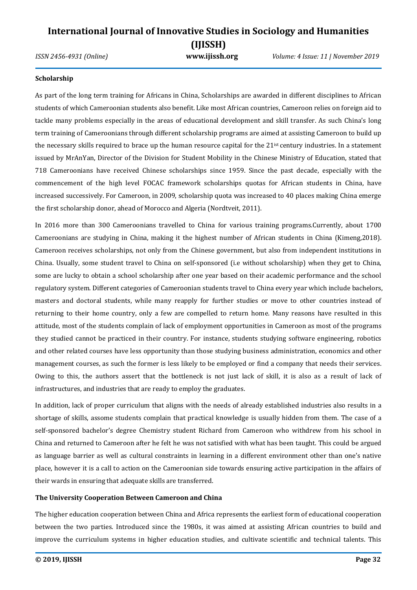*ISSN 2456-4931 (Online)* **www.ijissh.org** *Volume: 4 Issue: 11 | November 2019*

### **Scholarship**

As part of the long term training for Africans in China, Scholarships are awarded in different disciplines to African students of which Cameroonian students also benefit. Like most African countries, Cameroon relies on foreign aid to tackle many problems especially in the areas of educational development and skill transfer. As such China's long term training of Cameroonians through different scholarship programs are aimed at assisting Cameroon to build up the necessary skills required to brace up the human resource capital for the 21<sup>ist</sup> century industries. In a statement issued by MrAnYan, Director of the Division for Student Mobility in the Chinese Ministry of Education, stated that 718 Cameroonians have received Chinese scholarships since 1959. Since the past decade, especially with the commencement of the high level FOCAC framework scholarships quotas for African students in China, have increased successively. For Cameroon, in 2009, scholarship quota was increased to 40 places making China emerge the first scholarship donor, ahead of Morocco and Algeria (Nordtveit, 2011).

In 2016 more than 300 Cameroonians travelled to China for various training programs.Currently, about 1700 Cameroonians are studying in China, making it the highest number of African students in China (Kimeng,2018). Cameroon receives scholarships, not only from the Chinese government, but also from independent institutions in China. Usually, some student travel to China on self-sponsored (i.e without scholarship) when they get to China, some are lucky to obtain a school scholarship after one year based on their academic performance and the school regulatory system. Different categories of Cameroonian students travel to China every year which include bachelors, masters and doctoral students, while many reapply for further studies or move to other countries instead of returning to their home country, only a few are compelled to return home. Many reasons have resulted in this attitude, most of the students complain of lack of employment opportunities in Cameroon as most of the programs they studied cannot be practiced in their country. For instance, students studying software engineering, robotics and other related courses have less opportunity than those studying business administration, economics and other management courses, as such the former is less likely to be employed or find a company that needs their services. Owing to this, the authors assert that the bottleneck is not just lack of skill, it is also as a result of lack of infrastructures, and industries that are ready to employ the graduates.

In addition, lack of proper curriculum that aligns with the needs of already established industries also results in a shortage of skills, assome students complain that practical knowledge is usually hidden from them. The case of a self-sponsored bachelor's degree Chemistry student Richard from Cameroon who withdrew from his school in China and returned to Cameroon after he felt he was not satisfied with what has been taught. This could be argued as language barrier as well as cultural constraints in learning in a different environment other than one's native place, however it is a call to action on the Cameroonian side towards ensuring active participation in the affairs of their wards in ensuring that adequate skills are transferred.

### **The University Cooperation Between Cameroon and China**

The higher education cooperation between China and Africa represents the earliest form of educational cooperation between the two parties. Introduced since the 1980s, it was aimed at assisting African countries to build and improve the curriculum systems in higher education studies, and cultivate scientific and technical talents. This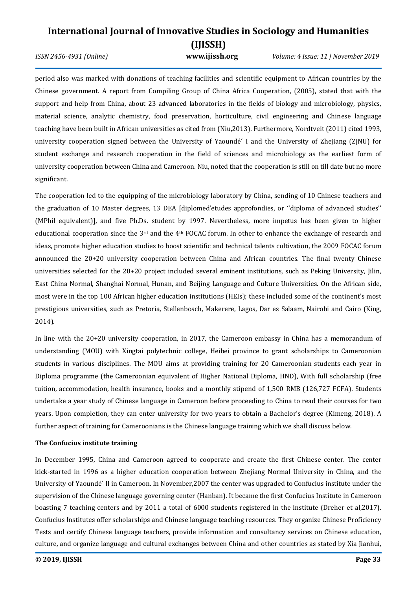*ISSN 2456-4931 (Online)* **www.ijissh.org** *Volume: 4 Issue: 11 | November 2019*

period also was marked with donations of teaching facilities and scientific equipment to African countries by the Chinese government. A report from Compiling Group of China Africa Cooperation, (2005), stated that with the support and help from China, about 23 advanced laboratories in the fields of biology and microbiology, physics, material science, analytic chemistry, food preservation, horticulture, civil engineering and Chinese language teaching have been built in African universities as cited from (Niu,2013). Furthermore, Nordtveit (2011) cited 1993, university cooperation signed between the University of Yaoundé´ I and the University of Zhejiang (ZJNU) for student exchange and research cooperation in the field of sciences and microbiology as the earliest form of university cooperation between China and Cameroon. Niu, noted that the cooperation is still on till date but no more significant.

The cooperation led to the equipping of the microbiology laboratory by China, sending of 10 Chinese teachers and the graduation of 10 Master degrees, 13 DEA [diplomed'etudes approfondies, or ''diploma of advanced studies'' (MPhil equivalent)], and five Ph.Ds. student by 1997. Nevertheless, more impetus has been given to higher educational cooperation since the 3rd and the 4th FOCAC forum. In other to enhance the exchange of research and ideas, promote higher education studies to boost scientific and technical talents cultivation, the 2009 FOCAC forum announced the 20+20 university cooperation between China and African countries. The final twenty Chinese universities selected for the 20+20 project included several eminent institutions, such as Peking University, Jilin, East China Normal, Shanghai Normal, Hunan, and Beijing Language and Culture Universities. On the African side, most were in the top 100 African higher education institutions (HEIs); these included some of the continent's most prestigious universities, such as Pretoria, Stellenbosch, Makerere, Lagos, Dar es Salaam, Nairobi and Cairo (King, 2014).

In line with the 20+20 university cooperation, in 2017, the Cameroon embassy in China has a memorandum of understanding (MOU) with Xingtai polytechnic college, Heibei province to grant scholarships to Cameroonian students in various disciplines. The MOU aims at providing training for 20 Cameroonian students each year in Diploma programme (the Cameroonian equivalent of Higher National Diploma, HND), With full scholarship (free tuition, accommodation, health insurance, books and a monthly stipend of 1,500 RMB (126,727 FCFA). Students undertake a year study of Chinese language in Cameroon before proceeding to China to read their courses for two years. Upon completion, they can enter university for two years to obtain a Bachelor's degree (Kimeng, 2018). A further aspect of training for Cameroonians is the Chinese language training which we shall discuss below.

### **The Confucius institute training**

In December 1995, China and Cameroon agreed to cooperate and create the first Chinese center. The center kick-started in 1996 as a higher education cooperation between Zhejiang Normal University in China, and the University of Yaoundé´ II in Cameroon. In November,2007 the center was upgraded to Confucius institute under the supervision of the Chinese language governing center (Hanban). It became the first Confucius Institute in Cameroon boasting 7 teaching centers and by 2011 a total of 6000 students registered in the institute (Dreher et al,2017). Confucius Institutes offer scholarships and Chinese language teaching resources. They organize Chinese Proficiency Tests and certify Chinese language teachers, provide information and consultancy services on Chinese education, culture, and organize language and cultural exchanges between China and other countries as stated by Xia Jianhui,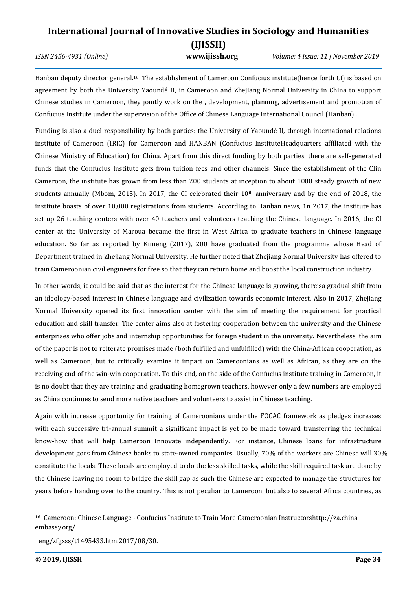*ISSN 2456-4931 (Online)* **www.ijissh.org** *Volume: 4 Issue: 11 | November 2019*

Hanban deputy director general.<sup>16</sup> The establishment of Cameroon Confucius institute(hence forth CI) is based on agreement by both the University Yaoundé II, in Cameroon and Zhejiang Normal University in China to support Chinese studies in Cameroon, they jointly work on the , development, planning, advertisement and promotion of Confucius Institute under the supervision of the Office of Chinese Language International Council (Hanban) .

Funding is also a duel responsibility by both parties: the University of Yaoundé II, through international relations institute of Cameroon (IRIC) for Cameroon and HANBAN (Confucius InstituteHeadquarters affiliated with the Chinese Ministry of Education) for China. Apart from this direct funding by both parties, there are self-generated funds that the Confucius Institute gets from tuition fees and other channels. Since the establishment of the CIin Cameroon, the institute has grown from less than 200 students at inception to about 1000 steady growth of new students annually (Mbom, 2015). In 2017, the CI celebrated their 10th anniversary and by the end of 2018, the institute boasts of over 10,000 registrations from students. According to Hanban news, 1n 2017, the institute has set up 26 teaching centers with over 40 teachers and volunteers teaching the Chinese language. In 2016, the CI center at the University of Maroua became the first in West Africa to graduate teachers in Chinese language education. So far as reported by Kimeng (2017), 200 have graduated from the programme whose Head of Department trained in Zhejiang Normal University. He further noted that Zhejiang Normal University has offered to train Cameroonian civil engineers for free so that they can return home and boost the local construction industry.

In other words, it could be said that as the interest for the Chinese language is growing, there'sa gradual shift from an ideology-based interest in Chinese language and civilization towards economic interest. Also in 2017, Zhejiang Normal University opened its first innovation center with the aim of meeting the requirement for practical education and skill transfer. The center aims also at fostering cooperation between the university and the Chinese enterprises who offer jobs and internship opportunities for foreign student in the university. Nevertheless, the aim of the paper is not to reiterate promises made (both fulfilled and unfulfilled) with the China-African cooperation, as well as Cameroon, but to critically examine it impact on Cameroonians as well as African, as they are on the receiving end of the win-win cooperation. To this end, on the side of the Confucius institute training in Cameroon, it is no doubt that they are training and graduating homegrown teachers, however only a few numbers are employed as China continues to send more native teachers and volunteers to assist in Chinese teaching.

Again with increase opportunity for training of Cameroonians under the FOCAC framework as pledges increases with each successive tri-annual summit a significant impact is yet to be made toward transferring the technical know-how that will help Cameroon Innovate independently. For instance, Chinese loans for infrastructure development goes from Chinese banks to state-owned companies. Usually, 70% of the workers are Chinese will 30% constitute the locals. These locals are employed to do the less skilled tasks, while the skill required task are done by the Chinese leaving no room to bridge the skill gap as such the Chinese are expected to manage the structures for years before handing over to the country. This is not peculiar to Cameroon, but also to several Africa countries, as

<sup>16</sup> Cameroon: Chinese Language - Confucius Institute to Train More Cameroonian Instructor[shttp://za.china](http://za.china/) embassy.org/

eng/zfgxss/t1495433.htm.2017/08/30.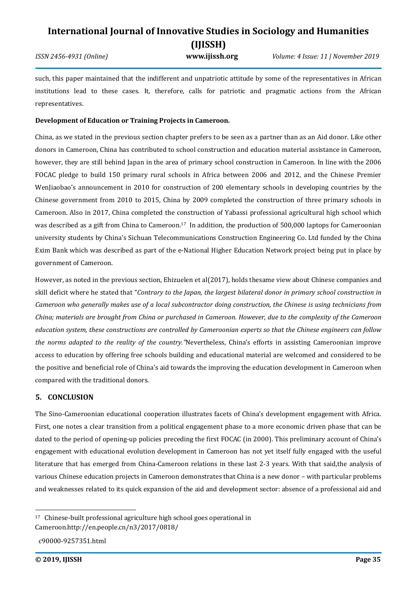### **International Journal of Innovative Studies in Sociology and Humanities (IJISSH)** *ISSN 2456-4931 (Online)* **www.ijissh.org** *Volume: 4 Issue: 11 | November 2019*

such, this paper maintained that the indifferent and unpatriotic attitude by some of the representatives in African institutions lead to these cases. It, therefore, calls for patriotic and pragmatic actions from the African representatives.

### **Development of Education or Training Projects in Cameroon.**

China, as we stated in the previous section chapter prefers to be seen as a partner than as an Aid donor. Like other donors in Cameroon, China has contributed to school construction and education material assistance in Cameroon, however, they are still behind Japan in the area of primary school construction in Cameroon. In line with the 2006 FOCAC pledge to build 150 primary rural schools in Africa between 2006 and 2012, and the Chinese Premier WenJiaobao's announcement in 2010 for construction of 200 elementary schools in developing countries by the Chinese government from 2010 to 2015, China by 2009 completed the construction of three primary schools in Cameroon. Also in 2017, China completed the construction of Yabassi professional agricultural high school which was described as a gift from China to Cameroon.<sup>17</sup> In addition, the production of 500,000 laptops for Cameroonian university students by China's Sichuan Telecommunications Construction Engineering Co. Ltd funded by the China Exim Bank which was described as part of the e-National Higher Education Network project being put in place by government of Cameroon.

However, as noted in the previous section, Ehizuelen et al(2017), holds thesame view about Chinese companies and skill deficit where he stated that "*Contrary to the Japan, the largest bilateral donor in primary school construction in Cameroon who generally makes use of a local subcontractor doing construction, the Chinese is using technicians from China; materials are brought from China or purchased in Cameroon. However, due to the complexity of the Cameroon education system, these constructions are controlled by Cameroonian experts so that the Chinese engineers can follow the norms adapted to the reality of the country."*Nevertheless, China's efforts in assisting Cameroonian improve access to education by offering free schools building and educational material are welcomed and considered to be the positive and beneficial role of China's aid towards the improving the education development in Cameroon when compared with the traditional donors.

### **5. CONCLUSION**

The Sino-Cameroonian educational cooperation illustrates facets of China's development engagement with Africa. First, one notes a clear transition from a political engagement phase to a more economic driven phase that can be dated to the period of opening-up policies preceding the first FOCAC (in 2000). This preliminary account of China's engagement with educational evolution development in Cameroon has not yet itself fully engaged with the useful literature that has emerged from China-Cameroon relations in these last 2-3 years. With that said,the analysis of various Chinese education projects in Cameroon demonstrates that China is a new donor – with particular problems and weaknesses related to its quick expansion of the aid and development sector: absence of a professional aid and

<sup>17</sup> Chinese-built professional agriculture high school goes operational in Cameroon.http://en.people.cn/n3/2017/0818/

c90000-9257351.html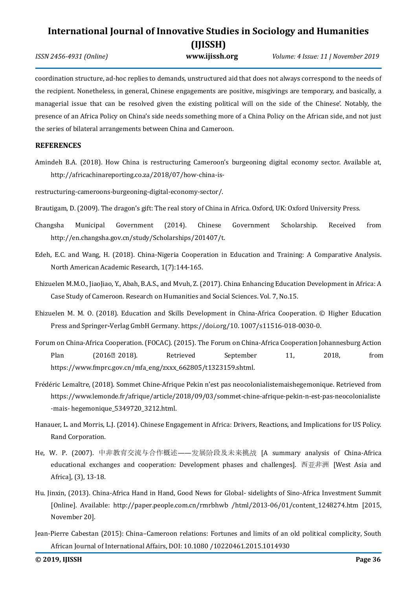*ISSN 2456-4931 (Online)* **www.ijissh.org** *Volume: 4 Issue: 11 | November 2019*

coordination structure, ad-hoc replies to demands, unstructured aid that does not always correspond to the needs of the recipient. Nonetheless, in general, Chinese engagements are positive, misgivings are temporary, and basically, a managerial issue that can be resolved given the existing political will on the side of the Chinese'. Notably, the presence of an Africa Policy on China's side needs something more of a China Policy on the African side, and not just the series of bilateral arrangements between China and Cameroon.

### **REFERENCES**

- Amindeh B.A. (2018). How China is restructuring Cameroon's burgeoning digital economy sector. Available at, http://africachinareporting.co.za/2018/07/how-china-is-
- [restructuring-cameroons-burgeoning-digital-economy-sector/.](http://africachinareporting.co.za/2018/07/how-china-is-restructuring-cameroons-burgeoning-digital-economy-sector/)
- Brautigam, D. (2009). The dragon's gift: The real story of China in Africa. Oxford, UK: Oxford University Press.
- Changsha Municipal Government (2014). Chinese Government Scholarship. Received from http://en.changsha.gov.cn/study/Scholarships/201407/t.
- Edeh, E.C. and Wang, H. (2018). China-Nigeria Cooperation in Education and Training: A Comparative Analysis. North American Academic Research, 1(7):144-165.
- Ehizuelen M.M.O., JiaoJiao, Y., Abah, B.A.S., and Mvuh, Z. (2017). China Enhancing Education Development in Africa: A Case Study of Cameroon. Research on Humanities and Social Sciences. Vol. 7, No.15.
- Ehizuelen M. M. O. (2018). Education and Skills Development in China-Africa Cooperation. © Higher Education Press and Springer**-**Verlag GmbH Germany. https://doi.org/10. 1007/s11516-018-0030-0.
- Forum on China-Africa Cooperation. (FOCAC). (2015). The Forum on China-Africa Cooperation Johannesburg Action Plan (2016<sup>o</sup> 2018). Retrieved September 11, 2018, from https://www.fmprc.gov.cn/mfa\_eng/zxxx\_662805/t1323159.shtml.
- Frédéric Lemaître, (2018). Sommet Chine-Afrique Pekin n'est pas neocolonialistemaishegemonique. Retrieved from https://www.lemonde.fr/afrique/article/2018/09/03/sommet-chine-afrique-pekin-n-est-pas-neocolonialiste -mais- hegemonique\_5349720\_3212.html.
- Hanauer, L. and Morris, L.J. (2014). Chinese Engagement in Africa: Drivers, Reactions, and Implications for US Policy. Rand Corporation.
- He, W. P. (2007). 中非教育交流与合作概述——发展阶段及未来挑战 [A summary analysis of China-Africa educational exchanges and cooperation: Development phases and challenges]. 西亚非洲 [West Asia and Africa], (3), 13-18.
- Hu. Jinxin, (2013). China-Africa Hand in Hand, Good News for Global- sidelights of Sino-Africa Investment Summit [Online]. Available: http://paper.people.com.cn/rmrbhwb /html/2013-06/01/content\_1248274.htm [2015, November 20].
- Jean-Pierre Cabestan (2015): China–Cameroon relations: Fortunes and limits of an old political complicity, South African Journal of International Affairs, DOI: 10.1080 /10220461.2015.1014930